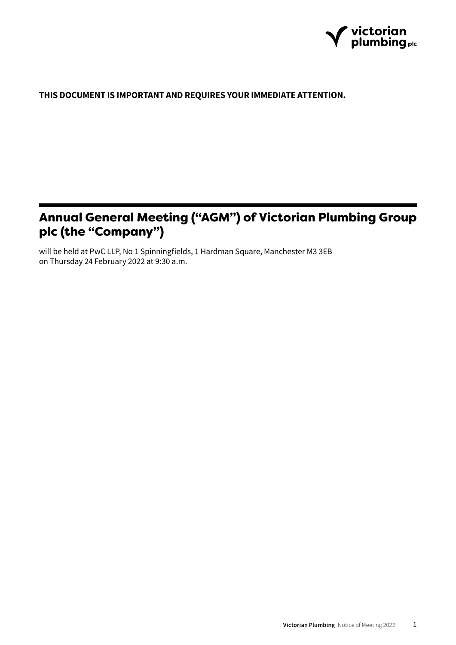

# **THIS DOCUMENT IS IMPORTANT AND REQUIRES YOUR IMMEDIATE ATTENTION.**

# Annual General Meeting ("AGM") of Victorian Plumbing Group plc (the "Company")

will be held at PwC LLP, No 1 Spinningfields, 1 Hardman Square, Manchester M3 3EB on Thursday 24 February 2022 at 9:30 a.m.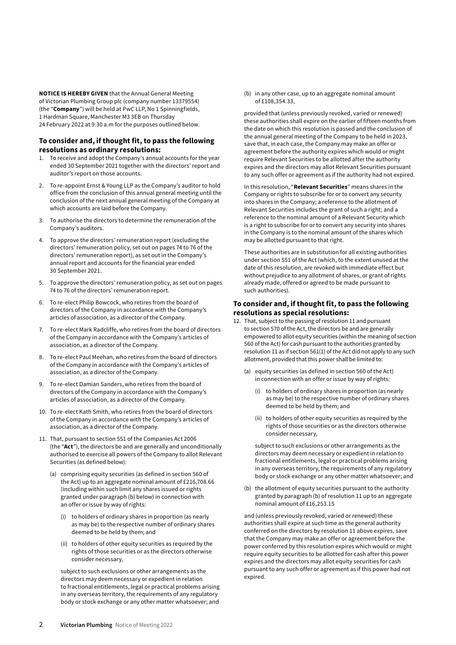**NOTICE IS HEREBY GIVEN** that the Annual General Meeting of Victorian Plumbing Group plc (company number 13379554) (the "**Company**") will be held at PwC LLP, No 1 Spinningfields, 1 Hardman Square, Manchester M3 3EB on Thursday 24 February 2022 at 9:30 a.m for the purposes outlined below.

# **To consider and, if thought fit, to pass the following resolutions as ordinary resolutions:**

- 1. To receive and adopt the Company's annual accounts for the year ended 30 September 2021 together with the directors' report and auditor's report on those accounts.
- 2. To re-appoint Ernst & Young LLP as the Company's auditor to hold office from the conclusion of this annual general meeting until the conclusion of the next annual general meeting of the Company at which accounts are laid before the Company.
- 3. To authorise the directors to determine the remuneration of the Company's auditors.
- 4. To approve the directors' remuneration report (excluding the directors' remuneration policy, set out on pages 74 to 76 of the directors' remuneration report), as set out in the Company's annual report and accounts for the financial year ended 30 September 2021.
- 5. To approve the directors' remuneration policy, as set out on pages 74 to 76 of the directors' remuneration report.
- 6. To re-elect Philip Bowcock, who retires from the board of directors of the Company in accordance with the Company's articles of association, as a director of the Company.
- 7. To re-elect Mark Radcliffe, who retires from the board of directors of the Company in accordance with the Company's articles of association, as a director of the Company.
- 8. To re-elect Paul Meehan, who retires from the board of directors of the Company in accordance with the Company's articles of association, as a director of the Company.
- 9. To re-elect Damian Sanders, who retires from the board of directors of the Company in accordance with the Company's articles of association, as a director of the Company.
- 10. To re-elect Kath Smith, who retires from the board of directors of the Company in accordance with the Company's articles of association, as a director of the Company.
- 11. That, pursuant to section 551 of the Companies Act 2006 (the "**Act**"), the directors be and are generally and unconditionally authorised to exercise all powers of the Company to allot Relevant Securities (as defined below):
	- (a) comprising equity securities (as defined in section 560 of the Act) up to an aggregate nominal amount of £216,708.66 (including within such limit any shares issued or rights granted under paragraph (b) below) in connection with an offer or issue by way of rights:
		- (i) to holders of ordinary shares in proportion (as nearly as may be) to the respective number of ordinary shares deemed to be held by them; and
		- (ii) to holders of other equity securities as required by the rights of those securities or as the directors otherwise consider necessary,

subject to such exclusions or other arrangements as the directors may deem necessary or expedient in relation to fractional entitlements, legal or practical problems arising in any overseas territory, the requirements of any regulatory body or stock exchange or any other matter whatsoever; and

(b) in any other case, up to an aggregate nominal amount of £108,354.33,

provided that (unless previously revoked, varied or renewed) these authorities shall expire on the earlier of fifteen months from the date on which this resolution is passed and the conclusion of the annual general meeting of the Company to be held in 2023, save that, in each case, the Company may make an offer or agreement before the authority expires which would or might require Relevant Securities to be allotted after the authority expires and the directors may allot Relevant Securities pursuant to any such offer or agreement as if the authority had not expired.

In this resolution, "**Relevant Securities**" means shares in the Company or rights to subscribe for or to convert any security into shares in the Company; a reference to the allotment of Relevant Securities includes the grant of such a right; and a reference to the nominal amount of a Relevant Security which is a right to subscribe for or to convert any security into shares in the Company is to the nominal amount of the shares which may be allotted pursuant to that right.

These authorities are in substitution for all existing authorities under section 551 of the Act (which, to the extent unused at the date of this resolution, are revoked with immediate effect but without prejudice to any allotment of shares, or grant of rights already made, offered or agreed to be made pursuant to such authorities).

# **To consider and, if thought fit, to pass the following resolutions as special resolutions:**

- 12. That, subject to the passing of resolution 11 and pursuant to section 570 of the Act, the directors be and are generally empowered to allot equity securities (within the meaning of section 560 of the Act) for cash pursuant to the authorities granted by resolution 11 as if section 561(1) of the Act did not apply to any such allotment, provided that this power shall be limited to:
	- (a) equity securities (as defined in section 560 of the Act) in connection with an offer or issue by way of rights:
		- (i) to holders of ordinary shares in proportion (as nearly as may be) to the respective number of ordinary shares deemed to be held by them; and
		- (ii) to holders of other equity securities as required by the rights of those securities or as the directors otherwise consider necessary,

subject to such exclusions or other arrangements as the directors may deem necessary or expedient in relation to fractional entitlements, legal or practical problems arising in any overseas territory, the requirements of any regulatory body or stock exchange or any other matter whatsoever; and

(b) the allotment of equity securities pursuant to the authority granted by paragraph (b) of resolution 11 up to an aggregate nominal amount of £16,253.15

and (unless previously revoked, varied or renewed) these authorities shall expire at such time as the general authority conferred on the directors by resolution 11 above expires, save that the Company may make an offer or agreement before the power conferred by this resolution expires which would or might require equity securities to be allotted for cash after this power expires and the directors may allot equity securities for cash pursuant to any such offer or agreement as if this power had not expired.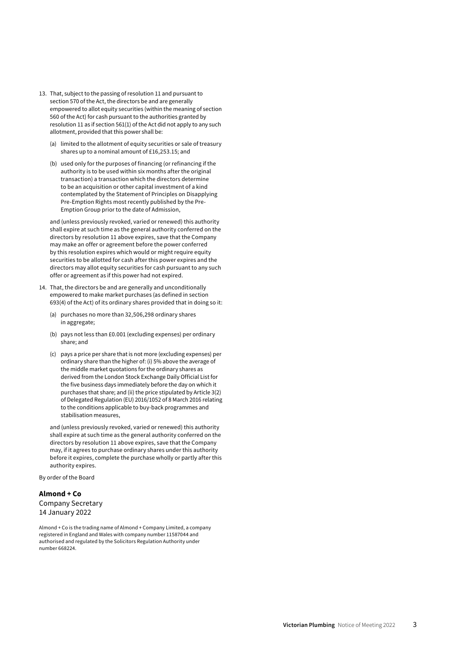- 13. That, subject to the passing of resolution 11 and pursuant to section 570 of the Act, the directors be and are generally empowered to allot equity securities (within the meaning of section 560 of the Act) for cash pursuant to the authorities granted by resolution 11 as if section 561(1) of the Act did not apply to any such allotment, provided that this power shall be:
	- (a) limited to the allotment of equity securities or sale of treasury shares up to a nominal amount of £16,253.15; and
	- (b) used only for the purposes of financing (or refinancing if the authority is to be used within six months after the original transaction) a transaction which the directors determine to be an acquisition or other capital investment of a kind contemplated by the Statement of Principles on Disapplying Pre-Emption Rights most recently published by the Pre-Emption Group prior to the date of Admission,

and (unless previously revoked, varied or renewed) this authority shall expire at such time as the general authority conferred on the directors by resolution 11 above expires, save that the Company may make an offer or agreement before the power conferred by this resolution expires which would or might require equity securities to be allotted for cash after this power expires and the directors may allot equity securities for cash pursuant to any such offer or agreement as if this power had not expired.

- 14. That, the directors be and are generally and unconditionally empowered to make market purchases (as defined in section 693(4) of the Act) of its ordinary shares provided that in doing so it:
	- (a) purchases no more than 32,506,298 ordinary shares in aggregate;
	- (b) pays not less than £0.001 (excluding expenses) per ordinary share; and
	- (c) pays a price per share that is not more (excluding expenses) per ordinary share than the higher of: (i) 5% above the average of the middle market quotations for the ordinary shares as derived from the London Stock Exchange Daily Official List for the five business days immediately before the day on which it purchases that share; and (ii) the price stipulated by Article 3(2) of Delegated Regulation (EU) 2016/1052 of 8 March 2016 relating to the conditions applicable to buy-back programmes and stabilisation measures,

and (unless previously revoked, varied or renewed) this authority shall expire at such time as the general authority conferred on the directors by resolution 11 above expires, save that the Company may, if it agrees to purchase ordinary shares under this authority before it expires, complete the purchase wholly or partly after this authority expires.

By order of the Board

# **Almond + Co** Company Secretary 14 January 2022

Almond + Co is the trading name of Almond + Company Limited, a company registered in England and Wales with company number 11587044 and authorised and regulated by the Solicitors Regulation Authority under number 668224.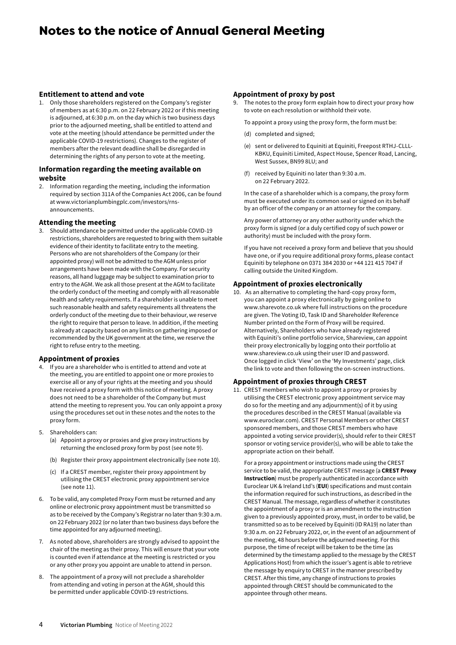# Notes to the notice of Annual General Meeting

#### **Entitlement to attend and vote**

1. Only those shareholders registered on the Company's register of members as at 6:30 p.m. on 22 February 2022 or if this meeting is adjourned, at 6:30 p.m. on the day which is two business days prior to the adjourned meeting, shall be entitled to attend and vote at the meeting (should attendance be permitted under the applicable COVID-19 restrictions). Changes to the register of members after the relevant deadline shall be disregarded in determining the rights of any person to vote at the meeting.

#### **Information regarding the meeting available on website**

2. Information regarding the meeting, including the information required by section 311A of the Companies Act 2006, can be found at www.victorianplumbingplc.com/investors/rnsannouncements.

#### **Attending the meeting**

3. Should attendance be permitted under the applicable COVID-19 restrictions, shareholders are requested to bring with them suitable evidence of their identity to facilitate entry to the meeting. Persons who are not shareholders of the Company (or their appointed proxy) will not be admitted to the AGM unless prior arrangements have been made with the Company. For security reasons, all hand luggage may be subject to examination prior to entry to the AGM. We ask all those present at the AGM to facilitate the orderly conduct of the meeting and comply with all reasonable health and safety requirements. If a shareholder is unable to meet such reasonable health and safety requirements all threatens the orderly conduct of the meeting due to their behaviour, we reserve the right to require that person to leave. In addition, if the meeting is already at capacity based on any limits on gathering imposed or recommended by the UK government at the time, we reserve the right to refuse entry to the meeting.

#### **Appointment of proxies**

- 4. If you are a shareholder who is entitled to attend and vote at the meeting, you are entitled to appoint one or more proxies to exercise all or any of your rights at the meeting and you should have received a proxy form with this notice of meeting. A proxy does not need to be a shareholder of the Company but must attend the meeting to represent you. You can only appoint a proxy using the procedures set out in these notes and the notes to the proxy form.
- 5. Shareholders can:
	- (a) Appoint a proxy or proxies and give proxy instructions by returning the enclosed proxy form by post (see note 9).
	- (b) Register their proxy appointment electronically (see note 10).
	- (c) If a CREST member, register their proxy appointment by utilising the CREST electronic proxy appointment service (see note 11).
- 6. To be valid, any completed Proxy Form must be returned and any online or electronic proxy appointment must be transmitted so as to be received by the Company's Registrar no later than 9:30 a.m. on 22 February 2022 (or no later than two business days before the time appointed for any adjourned meeting).
- 7. As noted above, shareholders are strongly advised to appoint the chair of the meeting as their proxy. This will ensure that your vote is counted even if attendance at the meeting is restricted or you or any other proxy you appoint are unable to attend in person.
- 8. The appointment of a proxy will not preclude a shareholder from attending and voting in person at the AGM, should this be permitted under applicable COVID-19 restrictions.

#### **Appointment of proxy by post**

The notes to the proxy form explain how to direct your proxy how to vote on each resolution or withhold their vote.

To appoint a proxy using the proxy form, the form must be:

- (d) completed and signed;
- (e) sent or delivered to Equiniti at Equiniti, Freepost RTHJ-CLLL-KBKU, Equiniti Limited, Aspect House, Spencer Road, Lancing, West Sussex, BN99 8LU; and
- (f) received by Equiniti no later than 9:30 a.m. on 22 February 2022.

In the case of a shareholder which is a company, the proxy form must be executed under its common seal or signed on its behalf by an officer of the company or an attorney for the company.

Any power of attorney or any other authority under which the proxy form is signed (or a duly certified copy of such power or authority) must be included with the proxy form.

If you have not received a proxy form and believe that you should have one, or if you require additional proxy forms, please contact Equiniti by telephone on 0371 384 2030 or +44 121 415 7047 if calling outside the United Kingdom.

#### **Appointment of proxies electronically**

10. As an alternative to completing the hard-copy proxy form, you can appoint a proxy electronically by going online to www.sharevote.co.uk where full instructions on the procedure are given. The Voting ID, Task ID and Shareholder Reference Number printed on the Form of Proxy will be required. Alternatively, Shareholders who have already registered with Equiniti's online portfolio service, Shareview, can appoint their proxy electronically by logging onto their portfolio at www.shareview.co.uk using their user ID and password. Once logged in click 'View' on the 'My Investments' page, click the link to vote and then following the on-screen instructions.

### **Appointment of proxies through CREST**

11. CREST members who wish to appoint a proxy or proxies by utilising the CREST electronic proxy appointment service may do so for the meeting and any adjournment(s) of it by using the procedures described in the CREST Manual (available via www.euroclear.com). CREST Personal Members or other CREST sponsored members, and those CREST members who have appointed a voting service provider(s), should refer to their CREST sponsor or voting service provider(s), who will be able to take the appropriate action on their behalf.

For a proxy appointment or instructions made using the CREST service to be valid, the appropriate CREST message (a **CREST Proxy Instruction**) must be properly authenticated in accordance with Euroclear UK & Ireland Ltd's (**EUI**) specifications and must contain the information required for such instructions, as described in the CREST Manual. The message, regardless of whether it constitutes the appointment of a proxy or is an amendment to the instruction given to a previously appointed proxy, must, in order to be valid, be transmitted so as to be received by Equiniti (ID RA19) no later than 9:30 a.m. on 22 February 2022, or, in the event of an adjournment of the meeting, 48 hours before the adjourned meeting. For this purpose, the time of receipt will be taken to be the time (as determined by the timestamp applied to the message by the CREST Applications Host) from which the issuer's agent is able to retrieve the message by enquiry to CREST in the manner prescribed by CREST. After this time, any change of instructions to proxies appointed through CREST should be communicated to the appointee through other means.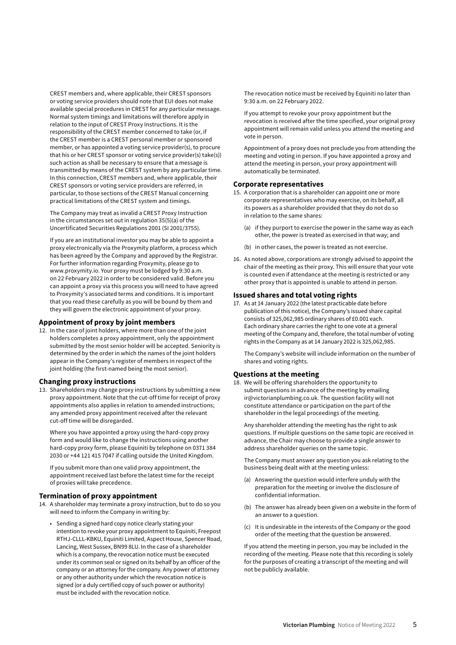CREST members and, where applicable, their CREST sponsors or voting service providers should note that EUI does not make available special procedures in CREST for any particular message. Normal system timings and limitations will therefore apply in relation to the input of CREST Proxy Instructions. It is the responsibility of the CREST member concerned to take (or, if the CREST member is a CREST personal member or sponsored member, or has appointed a voting service provider(s), to procure that his or her CREST sponsor or voting service provider(s) take(s)) such action as shall be necessary to ensure that a message is transmitted by means of the CREST system by any particular time. In this connection, CREST members and, where applicable, their CREST sponsors or voting service providers are referred, in particular, to those sections of the CREST Manual concerning practical limitations of the CREST system and timings.

The Company may treat as invalid a CREST Proxy Instruction in the circumstances set out in regulation 35(5)(a) of the Uncertificated Securities Regulations 2001 (SI 2001/3755).

If you are an institutional investor you may be able to appoint a proxy electronically via the Proxymity platform, a process which has been agreed by the Company and approved by the Registrar. For further information regarding Proxymity, please go to www.proxymity.io. Your proxy must be lodged by 9:30 a.m. on 22 February 2022 in order to be considered valid. Before you can appoint a proxy via this process you will need to have agreed to Proxymity's associated terms and conditions. It is important that you read these carefully as you will be bound by them and they will govern the electronic appointment of your proxy.

#### **Appointment of proxy by joint members**

12. In the case of joint holders, where more than one of the joint holders completes a proxy appointment, only the appointment submitted by the most senior holder will be accepted. Seniority is determined by the order in which the names of the joint holders appear in the Company's register of members in respect of the joint holding (the first-named being the most senior).

### **Changing proxy instructions**

13. Shareholders may change proxy instructions by submitting a new proxy appointment. Note that the cut-off time for receipt of proxy appointments also applies in relation to amended instructions; any amended proxy appointment received after the relevant cut-off time will be disregarded.

Where you have appointed a proxy using the hard-copy proxy form and would like to change the instructions using another hard-copy proxy form, please Equiniti by telephone on 0371 384 2030 or +44 121 415 7047 if calling outside the United Kingdom.

If you submit more than one valid proxy appointment, the appointment received last before the latest time for the receipt of proxies will take precedence.

#### **Termination of proxy appointment**

- 14. A shareholder may terminate a proxy instruction, but to do so you will need to inform the Company in writing by:
	- Sending a signed hard copy notice clearly stating your intention to revoke your proxy appointment to Equiniti, Freepost RTHJ-CLLL-KBKU, Equiniti Limited, Aspect House, Spencer Road, Lancing, West Sussex, BN99 8LU. In the case of a shareholder which is a company, the revocation notice must be executed under its common seal or signed on its behalf by an officer of the company or an attorney for the company. Any power of attorney or any other authority under which the revocation notice is signed (or a duly certified copy of such power or authority) must be included with the revocation notice.

The revocation notice must be received by Equiniti no later than 9:30 a.m. on 22 February 2022.

If you attempt to revoke your proxy appointment but the revocation is received after the time specified, your original proxy appointment will remain valid unless you attend the meeting and vote in person.

Appointment of a proxy does not preclude you from attending the meeting and voting in person. If you have appointed a proxy and attend the meeting in person, your proxy appointment will automatically be terminated.

#### **Corporate representatives**

- 15. A corporation that is a shareholder can appoint one or more corporate representatives who may exercise, on its behalf, all its powers as a shareholder provided that they do not do so in relation to the same shares:
	- (a) if they purport to exercise the power in the same way as each other, the power is treated as exercised in that way; and
	- (b) in other cases, the power is treated as not exercise.
- 16. As noted above, corporations are strongly advised to appoint the chair of the meeting as their proxy. This will ensure that your vote is counted even if attendance at the meeting is restricted or any other proxy that is appointed is unable to attend in person.

#### **Issued shares and total voting rights**

17. As at 14 January 2022 (the latest practicable date before publication of this notice), the Company's issued share capital consists of 325,062,985 ordinary shares of £0.001 each. Each ordinary share carries the right to one vote at a general meeting of the Company and, therefore, the total number of voting rights in the Company as at 14 January 2022 is 325,062,985.

The Company's website will include information on the number of shares and voting rights.

#### **Questions at the meeting**

18. We will be offering shareholders the opportunity to submit questions in advance of the meeting by emailing ir@victorianplumbing.co.uk. The question facility will not constitute attendance or participation on the part of the shareholder in the legal proceedings of the meeting.

Any shareholder attending the meeting has the right to ask questions. If multiple questions on the same topic are received in advance, the Chair may choose to provide a single answer to address shareholder queries on the same topic.

The Company must answer any question you ask relating to the business being dealt with at the meeting unless:

- (a) Answering the question would interfere unduly with the preparation for the meeting or involve the disclosure of confidential information.
- (b) The answer has already been given on a website in the form of an answer to a question.
- (c) It is undesirable in the interests of the Company or the good order of the meeting that the question be answered.

If you attend the meeting in person, you may be included in the recording of the meeting. Please note that this recording is solely for the purposes of creating a transcript of the meeting and will not be publicly available.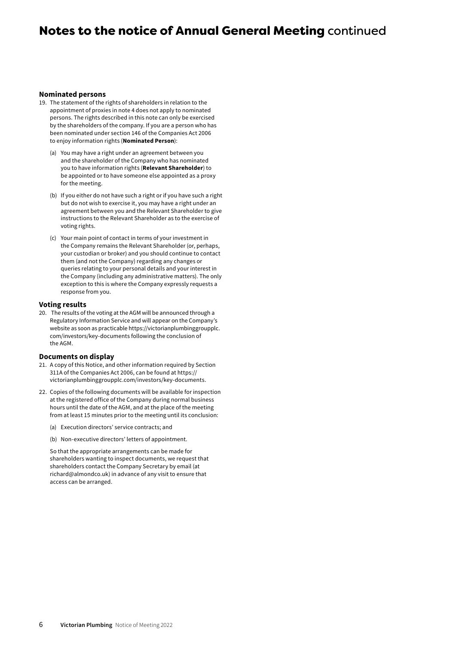# Notes to the notice of Annual General Meeting continued

#### **Nominated persons**

- 19. The statement of the rights of shareholders in relation to the appointment of proxies in note 4 does not apply to nominated persons. The rights described in this note can only be exercised by the shareholders of the company. If you are a person who has been nominated under section 146 of the Companies Act 2006 to enjoy information rights (**Nominated Person**):
	- (a) You may have a right under an agreement between you and the shareholder of the Company who has nominated you to have information rights (**Relevant Shareholder**) to be appointed or to have someone else appointed as a proxy for the meeting.
	- (b) If you either do not have such a right or if you have such a right but do not wish to exercise it, you may have a right under an agreement between you and the Relevant Shareholder to give instructions to the Relevant Shareholder as to the exercise of voting rights.
	- (c) Your main point of contact in terms of your investment in the Company remains the Relevant Shareholder (or, perhaps, your custodian or broker) and you should continue to contact them (and not the Company) regarding any changes or queries relating to your personal details and your interest in the Company (including any administrative matters). The only exception to this is where the Company expressly requests a response from you.

#### **Voting results**

20. The results of the voting at the AGM will be announced through a Regulatory Information Service and will appear on the Company's website as soon as practicable https://victorianplumbinggroupplc. com/investors/key-documents following the conclusion of the AGM.

#### **Documents on display**

- 21. A copy of this Notice, and other information required by Section 311A of the Companies Act 2006, can be found at https:// victorianplumbinggroupplc.com/investors/key-documents.
- 22. Copies of the following documents will be available for inspection at the registered office of the Company during normal business hours until the date of the AGM, and at the place of the meeting from at least 15 minutes prior to the meeting until its conclusion:
	- (a) Execution directors' service contracts; and
	- (b) Non-executive directors' letters of appointment.

So that the appropriate arrangements can be made for shareholders wanting to inspect documents, we request that shareholders contact the Company Secretary by email (at richard@almondco.uk) in advance of any visit to ensure that access can be arranged.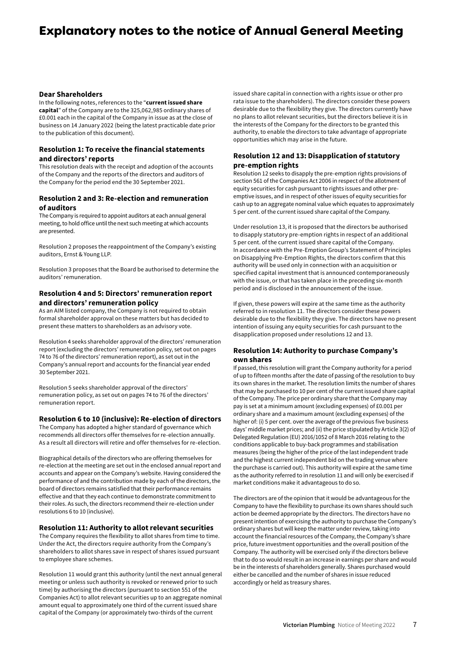# Explanatory notes to the notice of Annual General Meeting

#### **Dear Shareholders**

In the following notes, references to the "**current issued share capital**" of the Company are to the 325,062,985 ordinary shares of £0.001 each in the capital of the Company in issue as at the close of business on 14 January 2022 (being the latest practicable date prior to the publication of this document).

# **Resolution 1: To receive the financial statements and directors' reports**

This resolution deals with the receipt and adoption of the accounts of the Company and the reports of the directors and auditors of the Company for the period end the 30 September 2021.

# **Resolution 2 and 3: Re-election and remuneration of auditors**

The Company is required to appoint auditors at each annual general meeting, to hold office until the next such meeting at which accounts are presented.

Resolution 2 proposes the reappointment of the Company's existing auditors, Ernst & Young LLP.

Resolution 3 proposes that the Board be authorised to determine the auditors' remuneration.

# **Resolution 4 and 5: Directors' remuneration report and directors' remuneration policy**

As an AIM listed company, the Company is not required to obtain formal shareholder approval on these matters but has decided to present these matters to shareholders as an advisory vote.

Resolution 4 seeks shareholder approval of the directors' remuneration report (excluding the directors' remuneration policy, set out on pages 74 to 76 of the directors' remuneration report), as set out in the Company's annual report and accounts for the financial year ended 30 September 2021.

Resolution 5 seeks shareholder approval of the directors' remuneration policy, as set out on pages 74 to 76 of the directors' remuneration report.

### **Resolution 6 to 10 (inclusive): Re-election of directors**

The Company has adopted a higher standard of governance which recommends all directors offer themselves for re-election annually. As a result all directors will retire and offer themselves for re-election.

Biographical details of the directors who are offering themselves for re-election at the meeting are set out in the enclosed annual report and accounts and appear on the Company's website. Having considered the performance of and the contribution made by each of the directors, the board of directors remains satisfied that their performance remains effective and that they each continue to demonstrate commitment to their roles. As such, the directors recommend their re-election under resolutions 6 to 10 (inclusive).

### **Resolution 11: Authority to allot relevant securities**

The Company requires the flexibility to allot shares from time to time. Under the Act, the directors require authority from the Company's shareholders to allot shares save in respect of shares issued pursuant to employee share schemes.

Resolution 11 would grant this authority (until the next annual general meeting or unless such authority is revoked or renewed prior to such time) by authorising the directors (pursuant to section 551 of the Companies Act) to allot relevant securities up to an aggregate nominal amount equal to approximately one third of the current issued share capital of the Company (or approximately two-thirds of the current

issued share capital in connection with a rights issue or other pro rata issue to the shareholders). The directors consider these powers desirable due to the flexibility they give. The directors currently have no plans to allot relevant securities, but the directors believe it is in the interests of the Company for the directors to be granted this authority, to enable the directors to take advantage of appropriate opportunities which may arise in the future.

# **Resolution 12 and 13: Disapplication of statutory pre-emption rights**

Resolution 12 seeks to disapply the pre-emption rights provisions of section 561 of the Companies Act 2006 in respect of the allotment of equity securities for cash pursuant to rights issues and other preemptive issues, and in respect of other issues of equity securities for cash up to an aggregate nominal value which equates to approximately 5 per cent. of the current issued share capital of the Company.

Under resolution 13, it is proposed that the directors be authorised to disapply statutory pre-emption rights in respect of an additional 5 per cent. of the current issued share capital of the Company. In accordance with the Pre-Emption Group's Statement of Principles on Disapplying Pre-Emption Rights, the directors confirm that this authority will be used only in connection with an acquisition or specified capital investment that is announced contemporaneously with the issue, or that has taken place in the preceding six-month period and is disclosed in the announcement of the issue.

If given, these powers will expire at the same time as the authority referred to in resolution 11. The directors consider these powers desirable due to the flexibility they give. The directors have no present intention of issuing any equity securities for cash pursuant to the disapplication proposed under resolutions 12 and 13.

# **Resolution 14: Authority to purchase Company's own shares**

If passed, this resolution will grant the Company authority for a period of up to fifteen months after the date of passing of the resolution to buy its own shares in the market. The resolution limits the number of shares that may be purchased to 10 per cent of the current issued share capital of the Company. The price per ordinary share that the Company may pay is set at a minimum amount (excluding expenses) of £0.001 per ordinary share and a maximum amount (excluding expenses) of the higher of: (i) 5 per cent. over the average of the previous five business days' middle market prices; and (ii) the price stipulated by Article 3(2) of Delegated Regulation (EU) 2016/1052 of 8 March 2016 relating to the conditions applicable to buy-back programmes and stabilisation measures (being the higher of the price of the last independent trade and the highest current independent bid on the trading venue where the purchase is carried out). This authority will expire at the same time as the authority referred to in resolution 11 and will only be exercised if market conditions make it advantageous to do so.

The directors are of the opinion that it would be advantageous for the Company to have the flexibility to purchase its own shares should such action be deemed appropriate by the directors. The directors have no present intention of exercising the authority to purchase the Company's ordinary shares but will keep the matter under review, taking into account the financial resources of the Company, the Company's share price, future investment opportunities and the overall position of the Company. The authority will be exercised only if the directors believe that to do so would result in an increase in earnings per share and would be in the interests of shareholders generally. Shares purchased would either be cancelled and the number of shares in issue reduced accordingly or held as treasury shares.